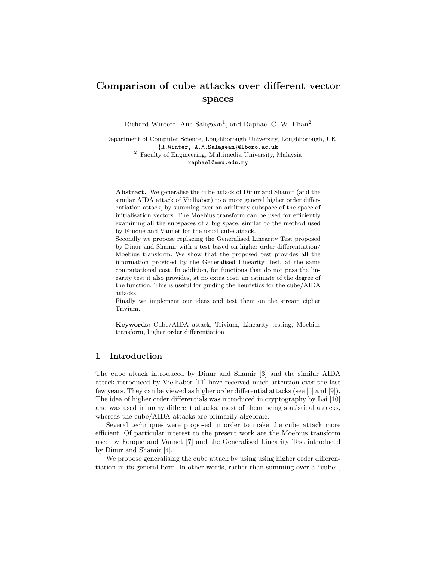# Comparison of cube attacks over different vector spaces

Richard Winter<sup>1</sup>, Ana Salagean<sup>1</sup>, and Raphael C.-W. Phan<sup>2</sup>

<sup>1</sup> Department of Computer Science, Loughborough University, Loughborough, UK {R.Winter, A.M.Salagean}@lboro.ac.uk

> $^{\rm 2}$  Faculty of Engineering, Multimedia University, Malaysia raphael@mmu.edu.my

Abstract. We generalise the cube attack of Dinur and Shamir (and the similar AIDA attack of Vielhaber) to a more general higher order differentiation attack, by summing over an arbitrary subspace of the space of initialisation vectors. The Moebius transform can be used for efficiently examining all the subspaces of a big space, similar to the method used by Fouque and Vannet for the usual cube attack.

Secondly we propose replacing the Generalised Linearity Test proposed by Dinur and Shamir with a test based on higher order differentiation/ Moebius transform. We show that the proposed test provides all the information provided by the Generalised Linearity Test, at the same computational cost. In addition, for functions that do not pass the linearity test it also provides, at no extra cost, an estimate of the degree of the function. This is useful for guiding the heuristics for the cube/AIDA attacks.

Finally we implement our ideas and test them on the stream cipher Trivium.

Keywords: Cube/AIDA attack, Trivium, Linearity testing, Moebius transform, higher order differentiation

# 1 Introduction

The cube attack introduced by Dinur and Shamir [3] and the similar AIDA attack introduced by Vielhaber [11] have received much attention over the last few years. They can be viewed as higher order differential attacks (see [5] and [9]). The idea of higher order differentials was introduced in cryptography by Lai [10] and was used in many different attacks, most of them being statistical attacks, whereas the cube/AIDA attacks are primarily algebraic.

Several techniques were proposed in order to make the cube attack more efficient. Of particular interest to the present work are the Moebius transform used by Fouque and Vannet [7] and the Generalised Linearity Test introduced by Dinur and Shamir [4].

We propose generalising the cube attack by using using higher order differentiation in its general form. In other words, rather than summing over a "cube",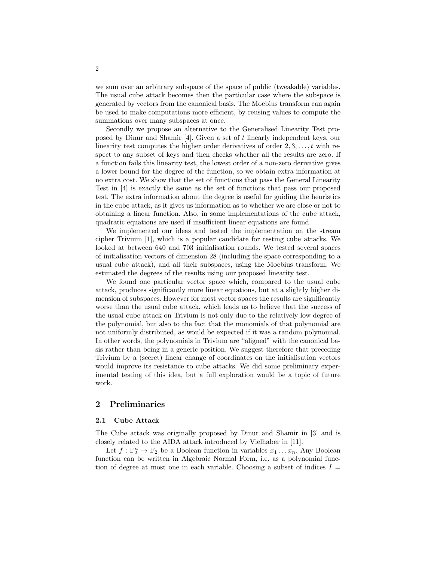we sum over an arbitrary subspace of the space of public (tweakable) variables. The usual cube attack becomes then the particular case where the subspace is generated by vectors from the canonical basis. The Moebius transform can again be used to make computations more efficient, by reusing values to compute the summations over many subspaces at once.

Secondly we propose an alternative to the Generalised Linearity Test proposed by Dinur and Shamir [4]. Given a set of t linearly independent keys, our linearity test computes the higher order derivatives of order  $2, 3, \ldots, t$  with respect to any subset of keys and then checks whether all the results are zero. If a function fails this linearity test, the lowest order of a non-zero derivative gives a lower bound for the degree of the function, so we obtain extra information at no extra cost. We show that the set of functions that pass the General Linearity Test in [4] is exactly the same as the set of functions that pass our proposed test. The extra information about the degree is useful for guiding the heuristics in the cube attack, as it gives us information as to whether we are close or not to obtaining a linear function. Also, in some implementations of the cube attack, quadratic equations are used if insufficient linear equations are found.

We implemented our ideas and tested the implementation on the stream cipher Trivium [1], which is a popular candidate for testing cube attacks. We looked at between 640 and 703 initialisation rounds. We tested several spaces of initialisation vectors of dimension 28 (including the space corresponding to a usual cube attack), and all their subspaces, using the Moebius transform. We estimated the degrees of the results using our proposed linearity test.

We found one particular vector space which, compared to the usual cube attack, produces significantly more linear equations, but at a slightly higher dimension of subspaces. However for most vector spaces the results are significantly worse than the usual cube attack, which leads us to believe that the success of the usual cube attack on Trivium is not only due to the relatively low degree of the polynomial, but also to the fact that the monomials of that polynomial are not uniformly distributed, as would be expected if it was a random polynomial. In other words, the polynomials in Trivium are "aligned" with the canonical basis rather than being in a generic position. We suggest therefore that preceding Trivium by a (secret) linear change of coordinates on the initialisation vectors would improve its resistance to cube attacks. We did some preliminary experimental testing of this idea, but a full exploration would be a topic of future work.

# 2 Preliminaries

#### 2.1 Cube Attack

The Cube attack was originally proposed by Dinur and Shamir in [3] and is closely related to the AIDA attack introduced by Vielhaber in [11].

Let  $f : \mathbb{F}_2^n \to \mathbb{F}_2$  be a Boolean function in variables  $x_1 \dots x_n$ . Any Boolean function can be written in Algebraic Normal Form, i.e. as a polynomial function of degree at most one in each variable. Choosing a subset of indices  $I =$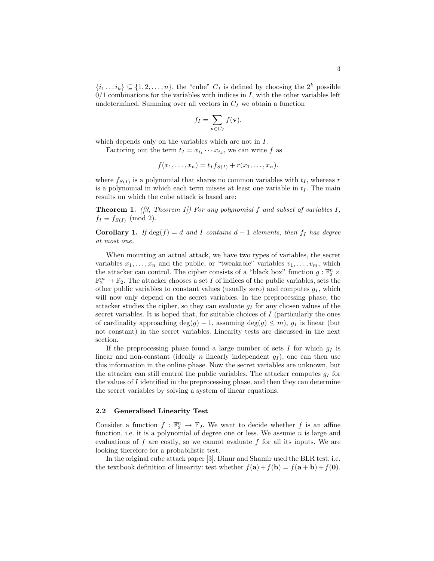$\{i_1 \dots i_k\} \subseteq \{1, 2, \dots, n\}$ , the "cube"  $C_I$  is defined by choosing the  $2^k$  possible  $0/1$  combinations for the variables with indices in  $I$ , with the other variables left undetermined. Summing over all vectors in  $C_I$  we obtain a function

$$
f_I = \sum_{\mathbf{v} \in C_I} f(\mathbf{v}).
$$

which depends only on the variables which are not in I.

Factoring out the term  $t_I = x_{i_1} \cdots x_{i_k}$ , we can write f as

$$
f(x_1,\ldots,x_n)=t_I f_{S(I)}+r(x_1,\ldots,x_n).
$$

where  $f_{S(I)}$  is a polynomial that shares no common variables with  $t_I$ , whereas r is a polynomial in which each term misses at least one variable in  $t_I$ . The main results on which the cube attack is based are:

**Theorem 1.** ([3, Theorem 1]) For any polynomial f and subset of variables  $I$ ,  $f_I \equiv f_{S(I)} \pmod{2}.$ 

Corollary 1. If  $\deg(f) = d$  and I contains  $d - 1$  elements, then  $f_I$  has degree at most one.

When mounting an actual attack, we have two types of variables, the secret variables  $x_1, \ldots, x_n$  and the public, or "tweakable" variables  $v_1, \ldots, v_m$ , which the attacker can control. The cipher consists of a "black box" function  $g : \mathbb{F}_2^n \times$  $\mathbb{F}_2^m \to \mathbb{F}_2$ . The attacker chooses a set I of indices of the public variables, sets the other public variables to constant values (usually zero) and computes  $q_I$ , which will now only depend on the secret variables. In the preprocessing phase, the attacker studies the cipher, so they can evaluate  $g_I$  for any chosen values of the secret variables. It is hoped that, for suitable choices of  $I$  (particularly the ones of cardinality approaching deg(g) – 1, assuming deg(g)  $\leq m$ ), g<sub>I</sub> is linear (but not constant) in the secret variables. Linearity tests are discussed in the next section.

If the preprocessing phase found a large number of sets I for which  $g_I$  is linear and non-constant (ideally n linearly independent  $g_I$ ), one can then use this information in the online phase. Now the secret variables are unknown, but the attacker can still control the public variables. The attacker computes  $g_I$  for the values of I identified in the preprocessing phase, and then they can determine the secret variables by solving a system of linear equations.

#### 2.2 Generalised Linearity Test

Consider a function  $f : \mathbb{F}_2^n \to \mathbb{F}_2$ . We want to decide whether f is an affine function, i.e. it is a polynomial of degree one or less. We assume  $n$  is large and evaluations of  $f$  are costly, so we cannot evaluate  $f$  for all its inputs. We are looking therefore for a probabilistic test.

In the original cube attack paper [3], Dinur and Shamir used the BLR test, i.e. the textbook definition of linearity: test whether  $f(\mathbf{a}) + f(\mathbf{b}) = f(\mathbf{a} + \mathbf{b}) + f(\mathbf{0}).$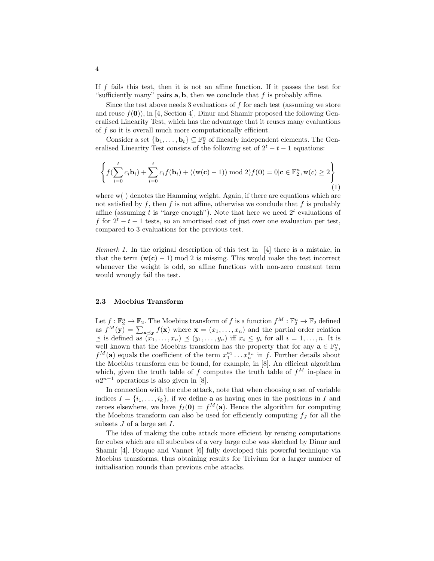If f fails this test, then it is not an affine function. If it passes the test for "sufficiently many" pairs  $a, b$ , then we conclude that f is probably affine.

Since the test above needs  $3$  evaluations of  $f$  for each test (assuming we store and reuse  $f(0)$ , in [4, Section 4], Dinur and Shamir proposed the following Generalised Linearity Test, which has the advantage that it reuses many evaluations of  $f$  so it is overall much more computationally efficient.

Consider a set  $\{b_1, \ldots, b_t\} \subseteq \mathbb{F}_2^n$  of linearly independent elements. The Generalised Linearity Test consists of the following set of  $2<sup>t</sup> - t - 1$  equations:

$$
\left\{ f(\sum_{i=0}^{t} c_i \mathbf{b}_i) + \sum_{i=0}^{t} c_i f(\mathbf{b}_i) + ((\mathbf{w}(\mathbf{c}) - 1)) \bmod 2) f(\mathbf{0}) = 0 | \mathbf{c} \in \mathbb{F}_2^n, \mathbf{w}(c) \ge 2 \right\}
$$
(1)

where  $w()$  denotes the Hamming weight. Again, if there are equations which are not satisfied by f, then f is not affine, otherwise we conclude that f is probably affine (assuming t is "large enough"). Note that here we need  $2<sup>t</sup>$  evaluations of f for  $2^t - t - 1$  tests, so an amortised cost of just over one evaluation per test, compared to 3 evaluations for the previous test.

Remark 1. In the original description of this test in [4] there is a mistake, in that the term  $(w(c) - 1) \mod 2$  is missing. This would make the test incorrect whenever the weight is odd, so affine functions with non-zero constant term would wrongly fail the test.

#### 2.3 Moebius Transform

Let  $f: \mathbb{F}_2^n \to \mathbb{F}_2$ . The Moebius transform of  $f$  is a function  $f^M: \mathbb{F}_2^n \to \mathbb{F}_2$  defined as  $f^{M}(\mathbf{y}) = \sum_{\mathbf{x} \preceq \mathbf{y}} f(\mathbf{x})$  where  $\mathbf{x} = (x_1, \ldots, x_n)$  and the partial order relation  $i \leq j$  is defined as  $(\tilde{x}_1, \ldots, x_n) \leq (y_1, \ldots, y_n)$  iff  $x_i \leq y_i$  for all  $i = 1, \ldots, n$ . It is well known that the Moebius transform has the property that for any  $\mathbf{a} \in \mathbb{F}_2^n$ ,  $f^M(\mathbf{a})$  equals the coefficient of the term  $x_1^{a_1} \ldots x_n^{a_n}$  in f. Further details about the Moebius transform can be found, for example, in [8]. An efficient algorithm which, given the truth table of f computes the truth table of  $f^M$  in-place in  $n2^{n-1}$  operations is also given in [8].

In connection with the cube attack, note that when choosing a set of variable indices  $I = \{i_1, \ldots, i_k\}$ , if we define **a** as having ones in the positions in I and zeroes elsewhere, we have  $f_I(\mathbf{0}) = f^M(\mathbf{a})$ . Hence the algorithm for computing the Moebius transform can also be used for efficiently computing  $f_J$  for all the subsets  $J$  of a large set  $I$ .

The idea of making the cube attack more efficient by reusing computations for cubes which are all subcubes of a very large cube was sketched by Dinur and Shamir [4]. Fouque and Vannet [6] fully developed this powerful technique via Moebius transforms, thus obtaining results for Trivium for a larger number of initialisation rounds than previous cube attacks.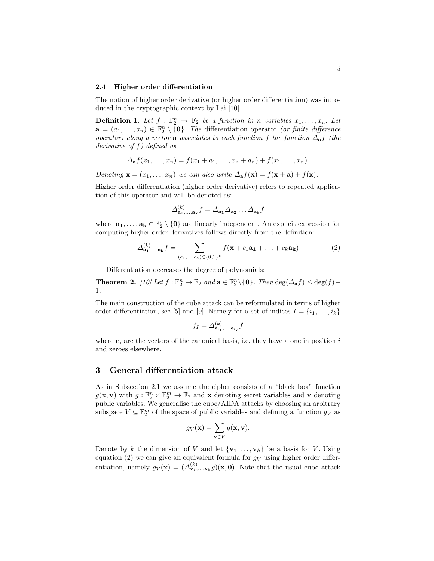#### 2.4 Higher order differentiation

The notion of higher order derivative (or higher order differentiation) was introduced in the cryptographic context by Lai [10].

**Definition 1.** Let  $f : \mathbb{F}_2^n \to \mathbb{F}_2$  be a function in n variables  $x_1, \ldots, x_n$ . Let  $\mathbf{a} = (a_1, \ldots, a_n) \in \mathbb{F}_2^n \setminus \{0\}$ . The differentiation operator (or finite difference operator) along a vector **a** associates to each function f the function  $\Delta_{\bf a} f$  (the derivative of f) defined as

$$
\Delta_{\mathbf{a}}f(x_1,\ldots,x_n) = f(x_1 + a_1,\ldots,x_n + a_n) + f(x_1,\ldots,x_n).
$$

Denoting  $\mathbf{x} = (x_1, \dots, x_n)$  we can also write  $\Delta_{\mathbf{a}} f(\mathbf{x}) = f(\mathbf{x} + \mathbf{a}) + f(\mathbf{x})$ .

Higher order differentiation (higher order derivative) refers to repeated application of this operator and will be denoted as:

$$
\Delta_{\mathbf{a}_1,\ldots,\mathbf{a}_k}^{(k)}f=\Delta_{\mathbf{a}_1}\Delta_{\mathbf{a}_2}\ldots\Delta_{\mathbf{a}_k}f
$$

where  $\mathbf{a}_1, \ldots, \mathbf{a}_k \in \mathbb{F}_2^n \setminus \{\mathbf{0}\}$  are linearly independent. An explicit expression for computing higher order derivatives follows directly from the definition:

$$
\Delta_{\mathbf{a}_1,\ldots,\mathbf{a}_k}^{(k)} f = \sum_{(c_1,\ldots,c_k)\in\{0,1\}^k} f(\mathbf{x} + c_1 \mathbf{a}_1 + \ldots + c_k \mathbf{a}_k)
$$
(2)

Differentiation decreases the degree of polynomials:

**Theorem 2.** [10] Let  $f : \mathbb{F}_2^n \to \mathbb{F}_2$  and  $\mathbf{a} \in \mathbb{F}_2^n \setminus \{\mathbf{0}\}$ . Then  $\deg(\Delta_{\mathbf{a}} f) \leq \deg(f) -$ 1.

The main construction of the cube attack can be reformulated in terms of higher order differentiation, see [5] and [9]. Namely for a set of indices  $I = \{i_1, \ldots, i_k\}$ 

$$
f_I = \Delta_{\mathbf{e_{i_1}},...,\mathbf{e_{i_k}}}^{(k)} f
$$

where  $e_i$  are the vectors of the canonical basis, i.e. they have a one in position i and zeroes elsewhere.

# 3 General differentiation attack

As in Subsection 2.1 we assume the cipher consists of a "black box" function  $g(\mathbf{x}, \mathbf{v})$  with  $g: \mathbb{F}_2^n \times \mathbb{F}_2^m \to \mathbb{F}_2$  and  $\mathbf{x}$  denoting secret variables and  $\mathbf{v}$  denoting public variables. We generalise the cube/AIDA attacks by choosing an arbitrary subspace  $V \subseteq \mathbb{F}_2^m$  of the space of public variables and defining a function  $g_V$  as

$$
g_V(\mathbf{x}) = \sum_{\mathbf{v} \in V} g(\mathbf{x}, \mathbf{v}).
$$

Denote by k the dimension of V and let  $\{v_1, \ldots, v_k\}$  be a basis for V. Using equation (2) we can give an equivalent formula for  $g_V$  using higher order differentiation, namely  $g_V(\mathbf{x}) = (\Delta_{\mathbf{v}_1,\ldots,\mathbf{v}_k}^{(k)} g)(\mathbf{x},\mathbf{0})$ . Note that the usual cube attack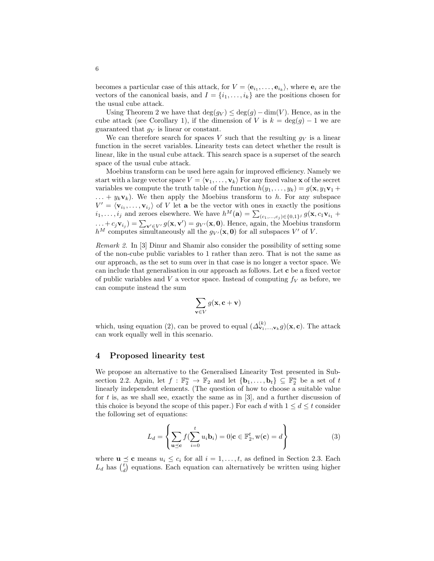becomes a particular case of this attack, for  $V = \langle \mathbf{e}_{i_1}, \ldots, \mathbf{e}_{i_k} \rangle$ , where  $\mathbf{e}_i$  are the vectors of the canonical basis, and  $I = \{i_1, \ldots, i_k\}$  are the positions chosen for the usual cube attack.

Using Theorem 2 we have that  $\deg(g_V) \leq \deg(g) - \dim(V)$ . Hence, as in the cube attack (see Corollary 1), if the dimension of V is  $k = \deg(g) - 1$  we are guaranteed that  $q_V$  is linear or constant.

We can therefore search for spaces V such that the resulting  $q_V$  is a linear function in the secret variables. Linearity tests can detect whether the result is linear, like in the usual cube attack. This search space is a superset of the search space of the usual cube attack.

Moebius transform can be used here again for improved efficiency. Namely we start with a large vector space  $V = \langle v_1, \ldots, v_k \rangle$  For any fixed value x of the secret variables we compute the truth table of the function  $h(y_1, \ldots, y_k) = g(\mathbf{x}, y_1\mathbf{v}_1 +$  $\dots + y_k \mathbf{v}_k$ . We then apply the Moebius transform to h. For any subspace  $V' = \langle \mathbf{v}_{i_1}, \ldots, \mathbf{v}_{i_j} \rangle$  of V let a be the vector with ones in exactly the positions  $i_1, \ldots, i_j$  and zeroes elsewhere. We have  $h^M(\mathbf{a}) = \sum_{(c_1, \ldots, c_j) \in \{0,1\}^j} g(\mathbf{x}, c_1 \mathbf{v}_{i_1} + \mathbf{v}_{i_2})$  $\dots + c_j \mathbf{v}_{i_j} = \sum_{\mathbf{v}' \in V'} g(\mathbf{x}, \mathbf{v}') = g_{V'}(\mathbf{x}, \mathbf{0}).$  Hence, again, the Moebius transform  $h^M$  computes simultaneously all the  $g_{V'}(\mathbf{x}, \mathbf{0})$  for all subspaces V' of V.

Remark 2. In [3] Dinur and Shamir also consider the possibility of setting some of the non-cube public variables to 1 rather than zero. That is not the same as our approach, as the set to sum over in that case is no longer a vector space. We can include that generalisation in our approach as follows. Let c be a fixed vector of public variables and V a vector space. Instead of computing  $f_V$  as before, we can compute instead the sum

$$
\sum_{\mathbf{v}\in V} g(\mathbf{x}, \mathbf{c} + \mathbf{v})
$$

which, using equation (2), can be proved to equal  $(\Delta_{\mathbf{v}_1,\ldots,\mathbf{v}_k}^{(k)} g)(\mathbf{x}, \mathbf{c})$ . The attack can work equally well in this scenario.

### 4 Proposed linearity test

We propose an alternative to the Generalised Linearity Test presented in Subsection 2.2. Again, let  $f : \mathbb{F}_2^n \to \mathbb{F}_2$  and let  $\{b_1, \ldots, b_t\} \subseteq \mathbb{F}_2^n$  be a set of t linearly independent elements. (The question of how to choose a suitable value for  $t$  is, as we shall see, exactly the same as in  $[3]$ , and a further discussion of this choice is beyond the scope of this paper.) For each d with  $1 \leq d \leq t$  consider the following set of equations:

$$
L_d = \left\{ \sum_{\mathbf{u} \preceq \mathbf{c}} f(\sum_{i=0}^t u_i \mathbf{b}_i) = 0 | \mathbf{c} \in \mathbb{F}_2^t, \mathbf{w}(\mathbf{c}) = d \right\}
$$
(3)

where  $\mathbf{u} \preceq \mathbf{c}$  means  $u_i \leq c_i$  for all  $i = 1, \ldots, t$ , as defined in Section 2.3. Each  $L_d$  has  $\binom{t}{d}$  equations. Each equation can alternatively be written using higher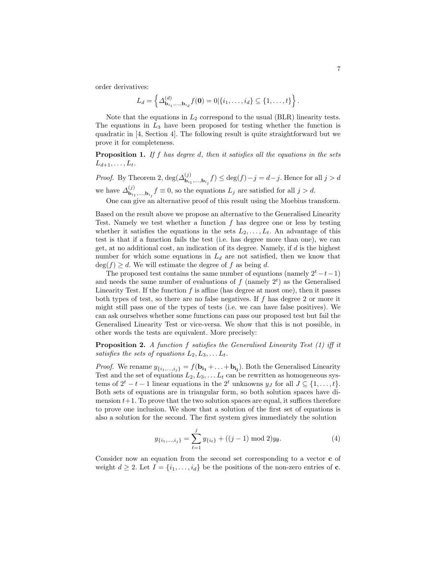order derivatives:

$$
L_d = \left\{ \Delta_{\mathbf{b}_{i_1},...,\mathbf{b}_{i_d}}^{(d)} f(\mathbf{0}) = 0 | \{i_1, \ldots, i_d\} \subseteq \{1, \ldots, t\} \right\}.
$$

Note that the equations in  $L_2$  correspond to the usual (BLR) linearity tests. The equations in  $L_3$  have been proposed for testing whether the function is quadratic in [4, Section 4]. The following result is quite straightforward but we prove it for completeness.

**Proposition 1.** If f has degree d, then it satisfies all the equations in the sets  $L_{d+1},\ldots,L_t$ .

*Proof.* By Theorem 2, deg( $\Delta_{\mathbf{b}}^{(j)}$  $\mathbf{b}_{\mathbf{i}_1,\dots,\mathbf{b}_{i_j}}(f) \leq \deg(f) - j = d - j$ . Hence for all  $j > d$ we have  $\Delta_{\mathbf{b}}^{(j)}$  $b_{i_1,\ldots,i_p}^{(j)}$   $f \equiv 0$ , so the equations  $L_j$  are satisfied for all  $j > d$ .

One can give an alternative proof of this result using the Moebius transform.

Based on the result above we propose an alternative to the Generalised Linearity Test. Namely we test whether a function  $f$  has degree one or less by testing whether it satisfies the equations in the sets  $L_2, \ldots, L_t$ . An advantage of this test is that if a function fails the test (i.e. has degree more than one), we can get, at no additional cost, an indication of its degree. Namely, if  $d$  is the highest number for which some equations in  $L_d$  are not satisfied, then we know that  $deg(f) \geq d$ . We will estimate the degree of f as being d.

The proposed test contains the same number of equations (namely  $2<sup>t</sup> - t - 1$ ) and needs the same number of evaluations of  $f$  (namely  $2<sup>t</sup>$ ) as the Generalised Linearity Test. If the function  $f$  is affine (has degree at most one), then it passes both types of test, so there are no false negatives. If f has degree 2 or more it might still pass one of the types of tests (i.e. we can have false positives). We can ask ourselves whether some functions can pass our proposed test but fail the Generalised Linearity Test or vice-versa. We show that this is not possible, in other words the tests are equivalent. More precisely:

**Proposition 2.** A function f satisfies the Generalised Linearity Test  $(1)$  iff it satisfies the sets of equations  $L_2, L_3, \ldots L_t$ .

*Proof.* We rename  $y_{\{i_1,\ldots,i_j\}} = f(\mathbf{b_{i_1}} + \ldots + \mathbf{b_{i_j}})$ . Both the Generalised Linearity Test and the set of equations  $L_2, L_3, \ldots L_t$  can be rewritten as homogeneous systems of  $2^t - t - 1$  linear equations in the  $2^t$  unknowns  $y_J$  for all  $J \subseteq \{1, \ldots, t\}.$ Both sets of equations are in triangular form, so both solution spaces have dimension  $t+1$ . To prove that the two solution spaces are equal, it suffices therefore to prove one inclusion. We show that a solution of the first set of equations is also a solution for the second. The first system gives immediately the solution

$$
y_{\{i_1,\dots,i_j\}} = \sum_{\ell=1}^j y_{\{i_\ell\}} + ((j-1) \bmod 2)y_\emptyset.
$$
 (4)

Consider now an equation from the second set corresponding to a vector **c** of weight  $d \geq 2$ . Let  $I = \{i_1, \ldots, i_d\}$  be the positions of the non-zero entries of **c**.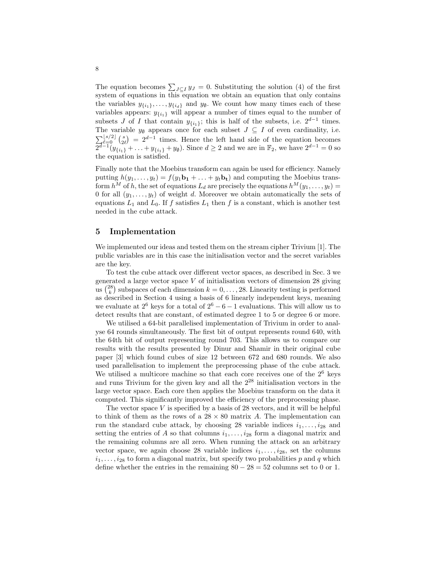The equation becomes  $\sum_{J\subseteq I} y_J = 0$ . Substituting the solution (4) of the first system of equations in this equation we obtain an equation that only contains the variables  $y_{\{i_1\}}, \ldots, y_{\{i_d\}}$  and  $y_{\emptyset}$ . We count how many times each of these variables appears:  $y_{\{i_1\}}$  will appear a number of times equal to the number of subsets J of I that contain  $y_{\{i_1\}}$ ; this is half of the subsets, i.e.  $2^{d-1}$  times. The variable  $y_{\emptyset}$  appears once for each subset  $J \subseteq I$  of even cardinality, i.e.  $\sum_{\ell=0}^{\lfloor s/2 \rfloor} {s \choose 2\ell} = 2^{d-1}$  times. Hence the left hand side of the equation becomes  $2^{d-1}(y_{\{i_1\}}+\ldots+y_{\{i_1\}}+y_{\emptyset})$ . Since  $d\geq 2$  and we are in  $\mathbb{F}_2$ , we have  $2^{d-1}=0$  so the equation is satisfied.

Finally note that the Moebius transform can again be used for efficiency. Namely putting  $h(y_1, \ldots, y_t) = f(y_1 \mathbf{b}_1 + \ldots + y_t \mathbf{b}_t)$  and computing the Moebius transform  $h^M$  of h, the set of equations  $L_d$  are precisely the equations  $h^M(y_1, \ldots, y_t) =$ 0 for all  $(y_1, \ldots, y_t)$  of weight d. Moreover we obtain automatically the sets of equations  $L_1$  and  $L_0$ . If f satisfies  $L_1$  then f is a constant, which is another test needed in the cube attack.

## 5 Implementation

We implemented our ideas and tested them on the stream cipher Trivium [1]. The public variables are in this case the initialisation vector and the secret variables are the key.

To test the cube attack over different vector spaces, as described in Sec. 3 we generated a large vector space  $V$  of initialisation vectors of dimension 28 giving us  $\binom{28}{k}$  subspaces of each dimension  $k = 0, \ldots, 28$ . Linearity testing is performed as described in Section 4 using a basis of 6 linearly independent keys, meaning we evaluate at  $2^6$  keys for a total of  $2^6 - 6 - 1$  evaluations. This will allow us to detect results that are constant, of estimated degree 1 to 5 or degree 6 or more.

We utilised a 64-bit parallelised implementation of Trivium in order to analyse 64 rounds simultaneously. The first bit of output represents round 640, with the 64th bit of output representing round 703. This allows us to compare our results with the results presented by Dinur and Shamir in their original cube paper [3] which found cubes of size 12 between 672 and 680 rounds. We also used parallelisation to implement the preprocessing phase of the cube attack. We utilised a multicore machine so that each core receives one of the  $2<sup>6</sup>$  keys and runs Trivium for the given key and all the  $2^{28}$  initialisation vectors in the large vector space. Each core then applies the Moebius transform on the data it computed. This significantly improved the efficiency of the preprocessing phase.

The vector space  $V$  is specified by a basis of 28 vectors, and it will be helpful to think of them as the rows of a  $28 \times 80$  matrix A. The implementation can run the standard cube attack, by choosing 28 variable indices  $i_1, \ldots, i_{28}$  and setting the entries of A so that columns  $i_1, \ldots, i_{28}$  form a diagonal matrix and the remaining columns are all zero. When running the attack on an arbitrary vector space, we again choose 28 variable indices  $i_1, \ldots, i_{28}$ , set the columns  $i_1, \ldots, i_{28}$  to form a diagonal matrix, but specify two probabilities p and q which define whether the entries in the remaining  $80 - 28 = 52$  columns set to 0 or 1.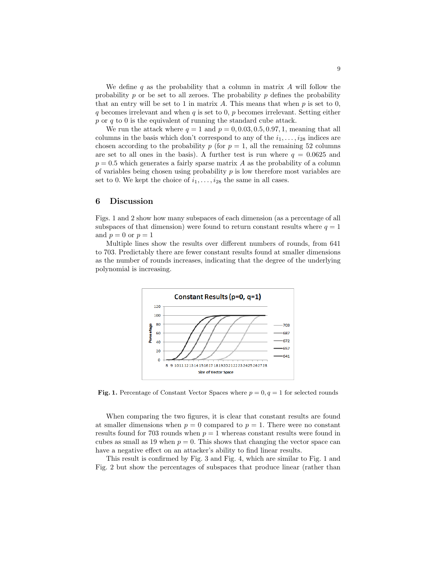We define q as the probability that a column in matrix  $A$  will follow the probability  $p$  or be set to all zeroes. The probability  $p$  defines the probability that an entry will be set to 1 in matrix A. This means that when  $p$  is set to 0,  $q$  becomes irrelevant and when  $q$  is set to 0,  $p$  becomes irrelevant. Setting either  $p$  or  $q$  to 0 is the equivalent of running the standard cube attack.

We run the attack where  $q = 1$  and  $p = 0, 0.03, 0.5, 0.97, 1$ , meaning that all columns in the basis which don't correspond to any of the  $i_1, \ldots, i_{28}$  indices are chosen according to the probability  $p$  (for  $p = 1$ , all the remaining 52 columns are set to all ones in the basis). A further test is run where  $q = 0.0625$  and  $p = 0.5$  which generates a fairly sparse matrix A as the probability of a column of variables being chosen using probability  $p$  is low therefore most variables are set to 0. We kept the choice of  $i_1, \ldots, i_{28}$  the same in all cases.

## 6 Discussion

Figs. 1 and 2 show how many subspaces of each dimension (as a percentage of all subspaces of that dimension) were found to return constant results where  $q = 1$ and  $p = 0$  or  $p = 1$ 

Multiple lines show the results over different numbers of rounds, from 641 to 703. Predictably there are fewer constant results found at smaller dimensions as the number of rounds increases, indicating that the degree of the underlying polynomial is increasing.



**Fig. 1.** Percentage of Constant Vector Spaces where  $p = 0, q = 1$  for selected rounds

When comparing the two figures, it is clear that constant results are found at smaller dimensions when  $p = 0$  compared to  $p = 1$ . There were no constant results found for 703 rounds when  $p = 1$  whereas constant results were found in cubes as small as 19 when  $p = 0$ . This shows that changing the vector space can have a negative effect on an attacker's ability to find linear results.

This result is confirmed by Fig. 3 and Fig. 4, which are similar to Fig. 1 and Fig. 2 but show the percentages of subspaces that produce linear (rather than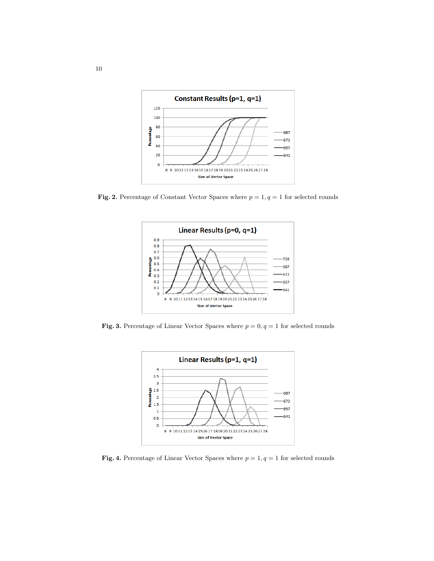

Fig. 2. Percentage of Constant Vector Spaces where  $p = 1, q = 1$  for selected rounds



Fig. 3. Percentage of Linear Vector Spaces where  $p = 0, q = 1$  for selected rounds



Fig. 4. Percentage of Linear Vector Spaces where  $p = 1, q = 1$  for selected rounds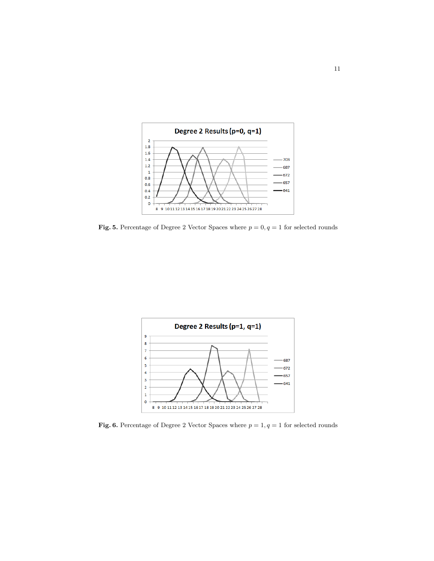

Fig. 5. Percentage of Degree 2 Vector Spaces where  $p = 0, q = 1$  for selected rounds



**Fig. 6.** Percentage of Degree 2 Vector Spaces where  $p = 1, q = 1$  for selected rounds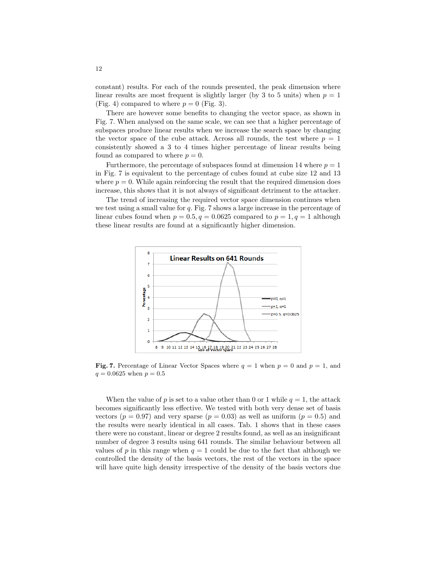constant) results. For each of the rounds presented, the peak dimension where linear results are most frequent is slightly larger (by 3 to 5 units) when  $p = 1$ (Fig. 4) compared to where  $p = 0$  (Fig. 3).

There are however some benefits to changing the vector space, as shown in Fig. 7. When analysed on the same scale, we can see that a higher percentage of subspaces produce linear results when we increase the search space by changing the vector space of the cube attack. Across all rounds, the test where  $p = 1$ consistently showed a 3 to 4 times higher percentage of linear results being found as compared to where  $p = 0$ .

Furthermore, the percentage of subspaces found at dimension 14 where  $p = 1$ in Fig. 7 is equivalent to the percentage of cubes found at cube size 12 and 13 where  $p = 0$ . While again reinforcing the result that the required dimension does increase, this shows that it is not always of significant detriment to the attacker.

The trend of increasing the required vector space dimension continues when we test using a small value for q. Fig. 7 shows a large increase in the percentage of linear cubes found when  $p = 0.5, q = 0.0625$  compared to  $p = 1, q = 1$  although these linear results are found at a significantly higher dimension.



**Fig. 7.** Percentage of Linear Vector Spaces where  $q = 1$  when  $p = 0$  and  $p = 1$ , and  $q = 0.0625$  when  $p = 0.5$ 

When the value of p is set to a value other than 0 or 1 while  $q = 1$ , the attack becomes significantly less effective. We tested with both very dense set of basis vectors ( $p = 0.97$ ) and very sparse ( $p = 0.03$ ) as well as uniform ( $p = 0.5$ ) and the results were nearly identical in all cases. Tab. 1 shows that in these cases there were no constant, linear or degree 2 results found, as well as an insignificant number of degree 3 results using 641 rounds. The similar behaviour between all values of p in this range when  $q = 1$  could be due to the fact that although we controlled the density of the basis vectors, the rest of the vectors in the space will have quite high density irrespective of the density of the basis vectors due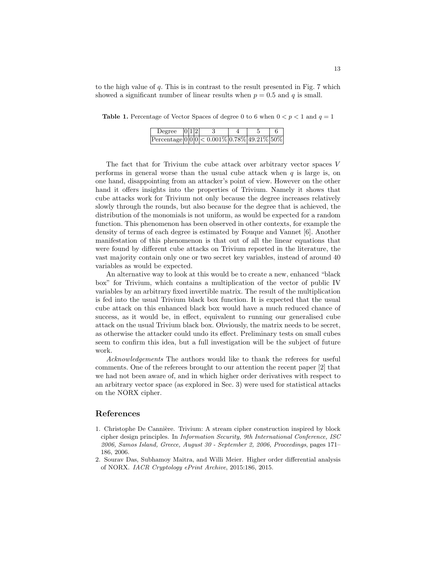to the high value of  $q$ . This is in contrast to the result presented in Fig. 7 which showed a significant number of linear results when  $p = 0.5$  and q is small.

**Table 1.** Percentage of Vector Spaces of degree 0 to 6 when  $0 < p < 1$  and  $q = 1$ 

| Degree | 0 1 2 |  |  |  |
|--------|-------|--|--|--|
|        |       |  |  |  |

The fact that for Trivium the cube attack over arbitrary vector spaces V performs in general worse than the usual cube attack when  $q$  is large is, on one hand, disappointing from an attacker's point of view. However on the other hand it offers insights into the properties of Trivium. Namely it shows that cube attacks work for Trivium not only because the degree increases relatively slowly through the rounds, but also because for the degree that is achieved, the distribution of the monomials is not uniform, as would be expected for a random function. This phenomenon has been observed in other contexts, for example the density of terms of each degree is estimated by Fouque and Vannet [6]. Another manifestation of this phenomenon is that out of all the linear equations that were found by different cube attacks on Trivium reported in the literature, the vast majority contain only one or two secret key variables, instead of around 40 variables as would be expected.

An alternative way to look at this would be to create a new, enhanced "black box" for Trivium, which contains a multiplication of the vector of public IV variables by an arbitrary fixed invertible matrix. The result of the multiplication is fed into the usual Trivium black box function. It is expected that the usual cube attack on this enhanced black box would have a much reduced chance of success, as it would be, in effect, equivalent to running our generalised cube attack on the usual Trivium black box. Obviously, the matrix needs to be secret, as otherwise the attacker could undo its effect. Preliminary tests on small cubes seem to confirm this idea, but a full investigation will be the subject of future work.

Acknowledgements The authors would like to thank the referees for useful comments. One of the referees brought to our attention the recent paper [2] that we had not been aware of, and in which higher order derivatives with respect to an arbitrary vector space (as explored in Sec. 3) were used for statistical attacks on the NORX cipher.

## References

- 1. Christophe De Cannière. Trivium: A stream cipher construction inspired by block cipher design principles. In Information Security, 9th International Conference, ISC 2006, Samos Island, Greece, August 30 - September 2, 2006, Proceedings, pages 171– 186, 2006.
- 2. Sourav Das, Subhamoy Maitra, and Willi Meier. Higher order differential analysis of NORX. IACR Cryptology ePrint Archive, 2015:186, 2015.